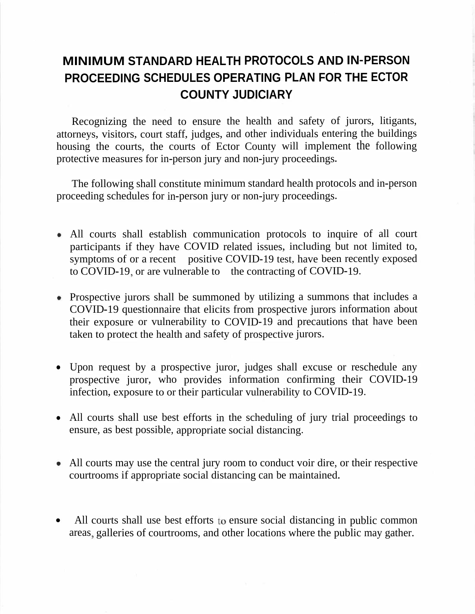## **MINIMUM STANDARD HEALTH PROTOCOLS AND IN-PERSON PROCEEDING SCHEDULES OPERATING PLAN FOR THE ECTOR COUNTY JUDICIARY**

Recognizing the need to ensure the health and safety of jurors, litigants, attorneys, visitors, court staff, judges, and other individuals entering the buildings housing the courts, the courts of Ector County will implement the following protective measures for in-person jury and non-jury proceedings.

The following shall constitute minimum standard health protocols and in-person proceeding schedules for in-person jury or non-jury proceedings.

- All courts shall establish communication protocols to inquire of all court participants if they have COVID related issues, including but not limited to, symptoms of or a recent positive COVID-19 test, have been recently exposed to COVID-19, or are vulnerable to the contracting of COVID-19.
- Prospective jurors shall be summoned by utilizing a summons that includes a COVID-19 questionnaire that elicits from prospective jurors information about their exposure or vulnerability to COVID-19 and precautions that have been taken to protect the health and safety of prospective jurors.
- Upon request by a prospective juror, judges shall excuse or reschedule any prospective juror, who provides information confirming their COVID-19 infection, exposure to or their particular vulnerability to COVID-19.
- All courts shall use best efforts in the scheduling of jury trial proceedings to ensure, as best possible, appropriate social distancing.
- All courts may use the central jury room to conduct voir dire, or their respective courtrooms if appropriate social distancing can be maintained.
- All courts shall use best efforts to ensure social distancing in public common areas galleries of courtrooms, and other locations where the public may gather.